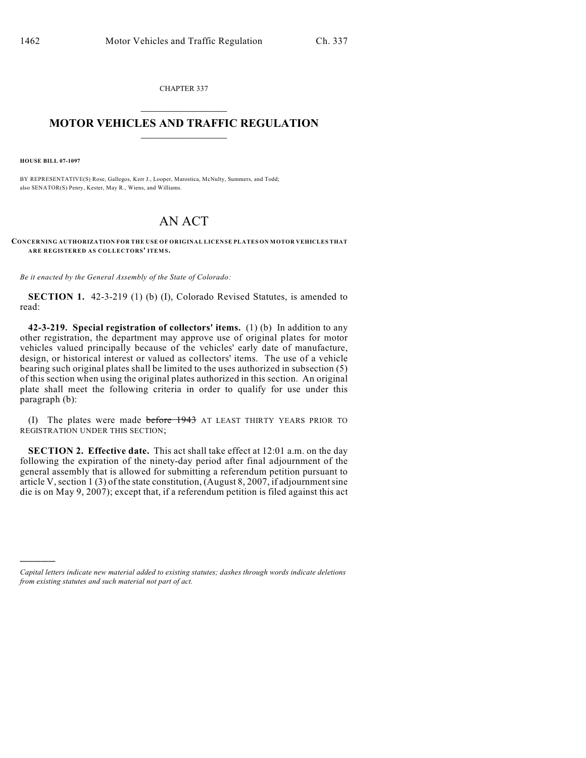CHAPTER 337  $\mathcal{L}_\text{max}$  . The set of the set of the set of the set of the set of the set of the set of the set of the set of the set of the set of the set of the set of the set of the set of the set of the set of the set of the set

## **MOTOR VEHICLES AND TRAFFIC REGULATION**  $\frac{1}{2}$  ,  $\frac{1}{2}$  ,  $\frac{1}{2}$  ,  $\frac{1}{2}$  ,  $\frac{1}{2}$  ,  $\frac{1}{2}$  ,  $\frac{1}{2}$  ,  $\frac{1}{2}$

**HOUSE BILL 07-1097**

)))))

BY REPRESENTATIVE(S) Rose, Gallegos, Kerr J., Looper, Marostica, McNulty, Summers, and Todd; also SENATOR(S) Penry, Kester, May R., Wiens, and Williams.

## AN ACT

**CONCERNING AUTHORIZATION FOR THE USE OF ORIGINAL LICENSE PLATES ON MOTOR VEHICLES THAT ARE REGISTERED AS COLLECTORS' ITEM S.**

*Be it enacted by the General Assembly of the State of Colorado:*

**SECTION 1.** 42-3-219 (1) (b) (I), Colorado Revised Statutes, is amended to read:

**42-3-219. Special registration of collectors' items.** (1) (b) In addition to any other registration, the department may approve use of original plates for motor vehicles valued principally because of the vehicles' early date of manufacture, design, or historical interest or valued as collectors' items. The use of a vehicle bearing such original plates shall be limited to the uses authorized in subsection (5) of this section when using the original plates authorized in this section. An original plate shall meet the following criteria in order to qualify for use under this paragraph (b):

(I) The plates were made before 1943 AT LEAST THIRTY YEARS PRIOR TO REGISTRATION UNDER THIS SECTION;

**SECTION 2. Effective date.** This act shall take effect at 12:01 a.m. on the day following the expiration of the ninety-day period after final adjournment of the general assembly that is allowed for submitting a referendum petition pursuant to article V, section 1 (3) of the state constitution, (August 8, 2007, if adjournment sine die is on May 9, 2007); except that, if a referendum petition is filed against this act

*Capital letters indicate new material added to existing statutes; dashes through words indicate deletions from existing statutes and such material not part of act.*